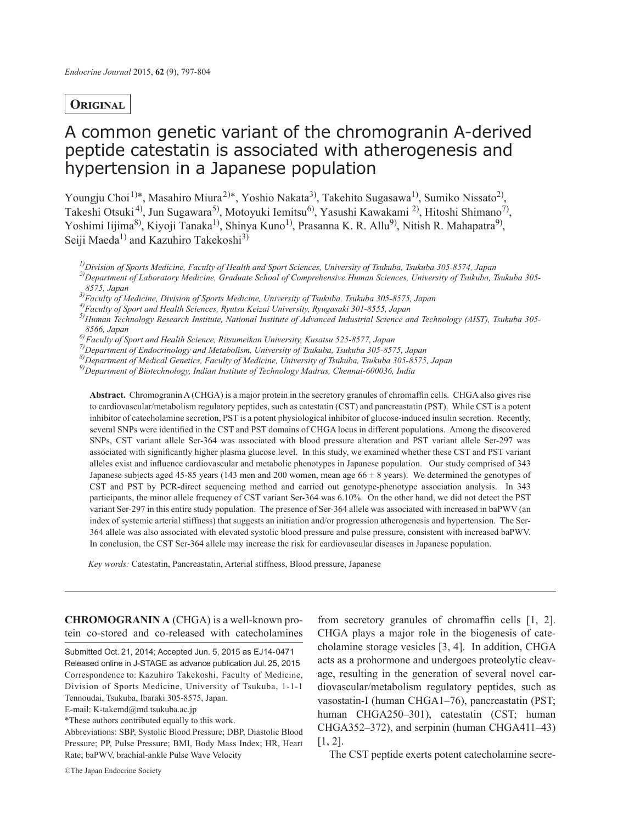# **Original**

# A common genetic variant of the chromogranin A-derived peptide catestatin is associated with atherogenesis and hypertension in a Japanese population

Youngju Choi<sup>1)\*</sup>, Masahiro Miura<sup>2)\*</sup>, Yoshio Nakata<sup>3)</sup>, Takehito Sugasawa<sup>1)</sup>, Sumiko Nissato<sup>2)</sup>, Takeshi Otsuki<sup>4)</sup>, Jun Sugawara<sup>5)</sup>, Motoyuki Iemitsu<sup>6)</sup>, Yasushi Kawakami <sup>2)</sup>, Hitoshi Shimano<sup>7)</sup>, Yoshimi Iijima<sup>8)</sup>, Kiyoji Tanaka<sup>1)</sup>, Shinya Kuno<sup>1)</sup>, Prasanna K. R. Allu<sup>9)</sup>, Nitish R. Mahapatra<sup>9)</sup>, Seiji Maeda<sup>1)</sup> and Kazuhiro Takekoshi<sup>3)</sup>

*1)Division of Sports Medicine, Faculty of Health and Sport Sciences, University of Tsukuba, Tsukuba 305-8574, Japan 2)Department of Laboratory Medicine, Graduate School of Comprehensive Human Sciences, University of Tsukuba, Tsukuba 305- 8575, Japan*

*3)Faculty of Medicine, Division of Sports Medicine, University of Tsukuba, Tsukuba 305-8575, Japan*

*5)Human Technology Research Institute, National Institute of Advanced Industrial Science and Technology (AIST), Tsukuba 305-*

*8566, Japan*

*6)Faculty of Sport and Health Science, Ritsumeikan University, Kusatsu 525-8577, Japan 7)Department of Endocrinology and Metabolism, University of Tsukuba, Tsukuba 305-8575, Japan*

*8)Department of Medical Genetics, Faculty of Medicine, University of Tsukuba, Tsukuba 305-8575, Japan*

*9)Department of Biotechnology, Indian Institute of Technology Madras, Chennai-600036, India*

**Abstract.** Chromogranin A (CHGA) is a major protein in the secretory granules of chromaffin cells. CHGA also gives rise to cardiovascular/metabolism regulatory peptides, such as catestatin (CST) and pancreastatin (PST). While CST is a potent inhibitor of catecholamine secretion, PST is a potent physiological inhibitor of glucose-induced insulin secretion. Recently, several SNPs were identified in the CST and PST domains of CHGA locus in different populations. Among the discovered SNPs, CST variant allele Ser-364 was associated with blood pressure alteration and PST variant allele Ser-297 was associated with significantly higher plasma glucose level. In this study, we examined whether these CST and PST variant alleles exist and influence cardiovascular and metabolic phenotypes in Japanese population. Our study comprised of 343 Japanese subjects aged 45-85 years (143 men and 200 women, mean age  $66 \pm 8$  years). We determined the genotypes of CST and PST by PCR-direct sequencing method and carried out genotype-phenotype association analysis. In 343 participants, the minor allele frequency of CST variant Ser-364 was 6.10%. On the other hand, we did not detect the PST variant Ser-297 in this entire study population. The presence of Ser-364 allele was associated with increased in baPWV (an index of systemic arterial stiffness) that suggests an initiation and/or progression atherogenesis and hypertension. The Ser-364 allele was also associated with elevated systolic blood pressure and pulse pressure, consistent with increased baPWV. In conclusion, the CST Ser-364 allele may increase the risk for cardiovascular diseases in Japanese population.

*Key words:* Catestatin, Pancreastatin, Arterial stiffness, Blood pressure, Japanese

**CHROMOGRANIN A** (CHGA) is a well-known protein co-stored and co-released with catecholamines

Submitted Oct. 21, 2014; Accepted Jun. 5, 2015 as EJ14-0471 Released online in J-STAGE as advance publication Jul. 25, 2015 Correspondence to: Kazuhiro Takekoshi, Faculty of Medicine, Division of Sports Medicine, University of Tsukuba, 1-1-1 Tennoudai, Tsukuba, Ibaraki 305-8575, Japan.

E-mail: K-takemd@md.tsukuba.ac.jp

\*These authors contributed equally to this work.

Abbreviations: SBP, Systolic Blood Pressure; DBP, Diastolic Blood Pressure; PP, Pulse Pressure; BMI, Body Mass Index; HR, Heart Rate; baPWV, brachial-ankle Pulse Wave Velocity

from secretory granules of chromaffin cells [1, 2]. CHGA plays a major role in the biogenesis of catecholamine storage vesicles [3, 4]. In addition, CHGA acts as a prohormone and undergoes proteolytic cleavage, resulting in the generation of several novel cardiovascular/metabolism regulatory peptides, such as vasostatin-I (human CHGA1–76), pancreastatin (PST; human CHGA250–301), catestatin (CST; human CHGA352–372), and serpinin (human CHGA411–43) [1, 2].

The CST peptide exerts potent catecholamine secre-

*<sup>4)</sup>Faculty of Sport and Health Sciences, Ryutsu Keizai University, Ryugasaki 301-8555, Japan*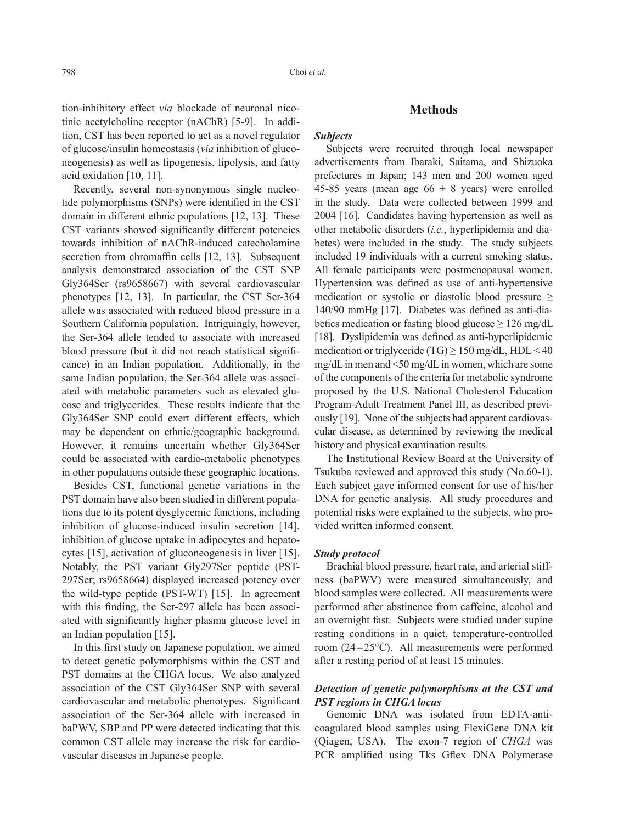tion-inhibitory effect *via* blockade of neuronal nicotinic acetylcholine receptor (nAChR) [5-9]. In addition, CST has been reported to act as a novel regulator of glucose/insulin homeostasis (*via* inhibition of gluconeogenesis) as well as lipogenesis, lipolysis, and fatty acid oxidation [10, 11].

Recently, several non-synonymous single nucleotide polymorphisms (SNPs) were identified in the CST domain in different ethnic populations [12, 13]. These CST variants showed significantly different potencies towards inhibition of nAChR-induced catecholamine secretion from chromaffin cells [12, 13]. Subsequent analysis demonstrated association of the CST SNP Gly364Ser (rs9658667) with several cardiovascular phenotypes [12, 13]. In particular, the CST Ser-364 allele was associated with reduced blood pressure in a Southern California population. Intriguingly, however, the Ser-364 allele tended to associate with increased blood pressure (but it did not reach statistical significance) in an Indian population. Additionally, in the same Indian population, the Ser-364 allele was associated with metabolic parameters such as elevated glucose and triglycerides. These results indicate that the Gly364Ser SNP could exert different effects, which may be dependent on ethnic/geographic background. However, it remains uncertain whether Gly364Ser could be associated with cardio-metabolic phenotypes in other populations outside these geographic locations.

Besides CST, functional genetic variations in the PST domain have also been studied in different populations due to its potent dysglycemic functions, including inhibition of glucose-induced insulin secretion [14], inhibition of glucose uptake in adipocytes and hepatocytes [15], activation of gluconeogenesis in liver [15]. Notably, the PST variant Gly297Ser peptide (PST-297Ser; rs9658664) displayed increased potency over the wild-type peptide (PST-WT) [15]. In agreement with this finding, the Ser-297 allele has been associated with significantly higher plasma glucose level in an Indian population [15].

In this first study on Japanese population, we aimed to detect genetic polymorphisms within the CST and PST domains at the CHGA locus. We also analyzed association of the CST Gly364Ser SNP with several cardiovascular and metabolic phenotypes. Significant association of the Ser-364 allele with increased in baPWV, SBP and PP were detected indicating that this common CST allele may increase the risk for cardiovascular diseases in Japanese people.

#### **Methods**

#### *Subjects*

Subjects were recruited through local newspaper advertisements from Ibaraki, Saitama, and Shizuoka prefectures in Japan; 143 men and 200 women aged 45-85 years (mean age  $66 \pm 8$  years) were enrolled in the study. Data were collected between 1999 and 2004 [16]. Candidates having hypertension as well as other metabolic disorders (*i.e.*, hyperlipidemia and diabetes) were included in the study. The study subjects included 19 individuals with a current smoking status. All female participants were postmenopausal women. Hypertension was defined as use of anti-hypertensive medication or systolic or diastolic blood pressure ≥ 140/90 mmHg [17]. Diabetes was defined as anti-diabetics medication or fasting blood glucose  $\geq 126$  mg/dL [18]. Dyslipidemia was defined as anti-hyperlipidemic medication or triglyceride (TG)  $\geq$  150 mg/dL, HDL < 40 mg/dL in men and <50 mg/dL in women, which are some of the components of the criteria for metabolic syndrome proposed by the U.S. National Cholesterol Education Program-Adult Treatment Panel III, as described previously [19]. None of the subjects had apparent cardiovascular disease, as determined by reviewing the medical history and physical examination results.

The Institutional Review Board at the University of Tsukuba reviewed and approved this study (No.60-1). Each subject gave informed consent for use of his/her DNA for genetic analysis. All study procedures and potential risks were explained to the subjects, who provided written informed consent.

#### *Study protocol*

Brachial blood pressure, heart rate, and arterial stiffness (baPWV) were measured simultaneously, and blood samples were collected. All measurements were performed after abstinence from caffeine, alcohol and an overnight fast. Subjects were studied under supine resting conditions in a quiet, temperature-controlled room (24 –25°C). All measurements were performed after a resting period of at least 15 minutes.

## *Detection of genetic polymorphisms at the CST and PST regions in CHGA locus*

Genomic DNA was isolated from EDTA-anticoagulated blood samples using FlexiGene DNA kit (Qiagen, USA). The exon-7 region of *CHGA* was PCR amplified using Tks Gflex DNA Polymerase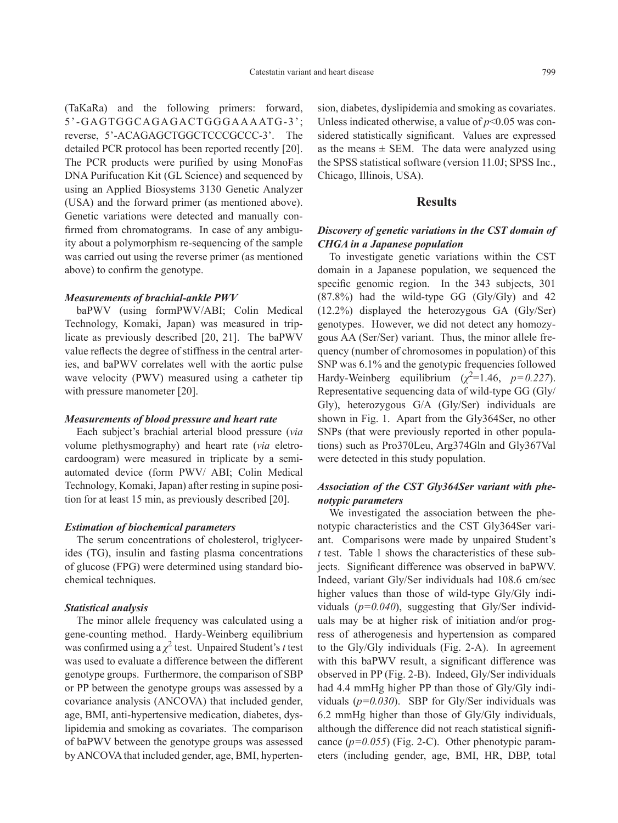(TaKaRa) and the following primers: forward, 5'-GAGTGGCAGAGACTGGGAAAATG-3'; reverse, 5'-ACAGAGCTGGCTCCCGCCC-3'. The detailed PCR protocol has been reported recently [20]. The PCR products were purified by using MonoFas DNA Purifucation Kit (GL Science) and sequenced by using an Applied Biosystems 3130 Genetic Analyzer (USA) and the forward primer (as mentioned above). Genetic variations were detected and manually confirmed from chromatograms. In case of any ambiguity about a polymorphism re-sequencing of the sample was carried out using the reverse primer (as mentioned above) to confirm the genotype.

#### *Measurements of brachial-ankle PWV*

baPWV (using formPWV/ABI; Colin Medical Technology, Komaki, Japan) was measured in triplicate as previously described [20, 21]. The baPWV value reflects the degree of stiffness in the central arteries, and baPWV correlates well with the aortic pulse wave velocity (PWV) measured using a catheter tip with pressure manometer [20].

#### *Measurements of blood pressure and heart rate*

Each subject's brachial arterial blood pressure (*via* volume plethysmography) and heart rate (*via* eletrocardoogram) were measured in triplicate by a semiautomated device (form PWV/ ABI; Colin Medical Technology, Komaki, Japan) after resting in supine position for at least 15 min, as previously described [20].

#### *Estimation of biochemical parameters*

The serum concentrations of cholesterol, triglycerides (TG), insulin and fasting plasma concentrations of glucose (FPG) were determined using standard biochemical techniques.

#### *Statistical analysis*

The minor allele frequency was calculated using a gene-counting method. Hardy-Weinberg equilibrium was confirmed using  $a \chi^2$  test. Unpaired Student's *t* test was used to evaluate a difference between the different genotype groups. Furthermore, the comparison of SBP or PP between the genotype groups was assessed by a covariance analysis (ANCOVA) that included gender, age, BMI, anti-hypertensive medication, diabetes, dyslipidemia and smoking as covariates. The comparison of baPWV between the genotype groups was assessed by ANCOVA that included gender, age, BMI, hypertension, diabetes, dyslipidemia and smoking as covariates. Unless indicated otherwise, a value of  $p<0.05$  was considered statistically significant. Values are expressed as the means  $\pm$  SEM. The data were analyzed using the SPSS statistical software (version 11.0J; SPSS Inc., Chicago, Illinois, USA).

## **Results**

## *Discovery of genetic variations in the CST domain of CHGA in a Japanese population*

To investigate genetic variations within the CST domain in a Japanese population, we sequenced the specific genomic region. In the 343 subjects, 301 (87.8%) had the wild-type GG (Gly/Gly) and 42 (12.2%) displayed the heterozygous GA (Gly/Ser) genotypes. However, we did not detect any homozygous AA (Ser/Ser) variant. Thus, the minor allele frequency (number of chromosomes in population) of this SNP was 6.1% and the genotypic frequencies followed Hardy-Weinberg equilibrium  $(\chi^2=1.46, p=0.227)$ . Representative sequencing data of wild-type GG (Gly/ Gly), heterozygous G/A (Gly/Ser) individuals are shown in Fig. 1. Apart from the Gly364Ser, no other SNPs (that were previously reported in other populations) such as Pro370Leu, Arg374Gln and Gly367Val were detected in this study population.

## *Association of the CST Gly364Ser variant with phenotypic parameters*

We investigated the association between the phenotypic characteristics and the CST Gly364Ser variant. Comparisons were made by unpaired Student's *t* test. Table 1 shows the characteristics of these subjects. Significant difference was observed in baPWV. Indeed, variant Gly/Ser individuals had 108.6 cm/sec higher values than those of wild-type Gly/Gly individuals (*p=0.040*), suggesting that Gly/Ser individuals may be at higher risk of initiation and/or progress of atherogenesis and hypertension as compared to the Gly/Gly individuals (Fig. 2-A). In agreement with this baPWV result, a significant difference was observed in PP (Fig. 2-B). Indeed, Gly/Ser individuals had 4.4 mmHg higher PP than those of Gly/Gly individuals (*p=0.030*). SBP for Gly/Ser individuals was 6.2 mmHg higher than those of Gly/Gly individuals, although the difference did not reach statistical significance (*p=0.055*) (Fig. 2-C). Other phenotypic parameters (including gender, age, BMI, HR, DBP, total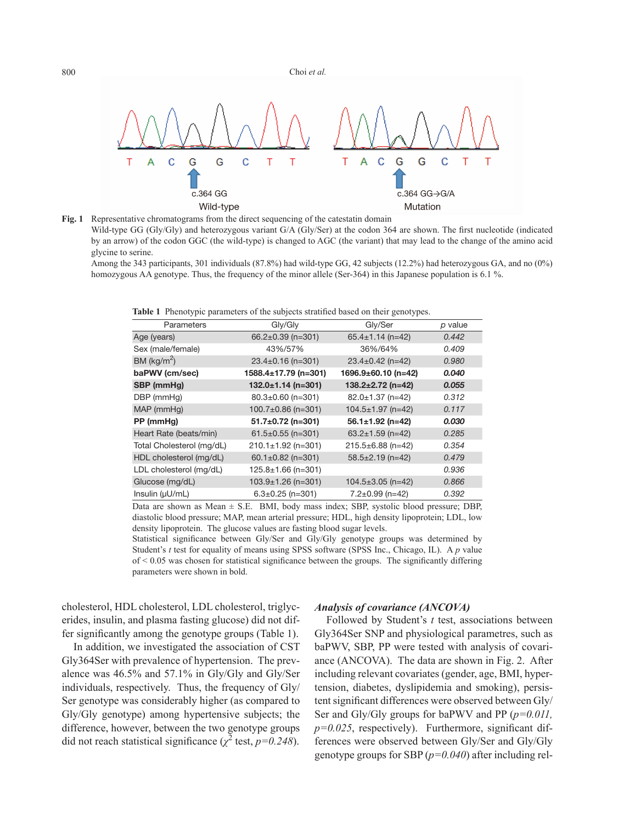

**Fig. 1** Representative chromatograms from the direct sequencing of the catestatin domain Wild-type GG (Gly/Gly) and heterozygous variant G/A (Gly/Ser) at the codon 364 are shown. The first nucleotide (indicated by an arrow) of the codon GGC (the wild-type) is changed to AGC (the variant) that may lead to the change of the amino acid glycine to serine.

Among the 343 participants, 301 individuals (87.8%) had wild-type GG, 42 subjects (12.2%) had heterozygous GA, and no (0%) homozygous AA genotype. Thus, the frequency of the minor allele (Ser-364) in this Japanese population is 6.1 %.

**Table 1** Phenotypic parameters of the subjects stratified based on their genotypes.

| Parameters                | Gly/Gly                  | Gly/Ser                 | p value |
|---------------------------|--------------------------|-------------------------|---------|
| Age (years)               | 66.2 $\pm$ 0.39 (n=301)  | $65.4 \pm 1.14$ (n=42)  | 0.442   |
| Sex (male/female)         | 43%/57%                  | 36%/64%                 | 0.409   |
| BM (kg/m <sup>2</sup> )   | $23.4 \pm 0.16$ (n=301)  | $23.4 \pm 0.42$ (n=42)  | 0.980   |
| baPWV (cm/sec)            | 1588.4±17.79 (n=301)     | 1696.9±60.10 (n=42)     | 0.040   |
| SBP (mmHg)                | $132.0 \pm 1.14$ (n=301) | $138.2 \pm 2.72$ (n=42) | 0.055   |
| DBP (mmHg)                | $80.3 \pm 0.60$ (n=301)  | $82.0 \pm 1.37$ (n=42)  | 0.312   |
| $MAP$ (mmHg)              | $100.7 \pm 0.86$ (n=301) | $104.5 \pm 1.97$ (n=42) | 0.117   |
| PP (mmHg)                 | $51.7 \pm 0.72$ (n=301)  | $56.1 \pm 1.92$ (n=42)  | 0.030   |
| Heart Rate (beats/min)    | $61.5 \pm 0.55$ (n=301)  | 63.2 $\pm$ 1.59 (n=42)  | 0.285   |
| Total Cholesterol (mg/dL) | $210.1 \pm 1.92$ (n=301) | 215.5±6.88 (n=42)       | 0.354   |
| HDL cholesterol (mg/dL)   | 60.1 $\pm$ 0.82 (n=301)  | $58.5 \pm 2.19$ (n=42)  | 0.479   |
| LDL cholesterol (mg/dL)   | $125.8 \pm 1.66$ (n=301) |                         | 0.936   |
| Glucose (mg/dL)           | $103.9 \pm 1.26$ (n=301) | $104.5 \pm 3.05$ (n=42) | 0.866   |
| Insulin (µU/mL)           | $6.3 \pm 0.25$ (n=301)   | $7.2 \pm 0.99$ (n=42)   | 0.392   |

Data are shown as Mean  $\pm$  S.E. BMI, body mass index; SBP, systolic blood pressure; DBP, diastolic blood pressure; MAP, mean arterial pressure; HDL, high density lipoprotein; LDL, low density lipoprotein. The glucose values are fasting blood sugar levels.

Statistical significance between Gly/Ser and Gly/Gly genotype groups was determined by Student's *t* test for equality of means using SPSS software (SPSS Inc., Chicago, IL). A *p* value  $of < 0.05$  was chosen for statistical significance between the groups. The significantly differing parameters were shown in bold.

cholesterol, HDL cholesterol, LDL cholesterol, triglycerides, insulin, and plasma fasting glucose) did not differ significantly among the genotype groups (Table 1).

In addition, we investigated the association of CST Gly364Ser with prevalence of hypertension. The prevalence was 46.5% and 57.1% in Gly/Gly and Gly/Ser individuals, respectively. Thus, the frequency of Gly/ Ser genotype was considerably higher (as compared to Gly/Gly genotype) among hypertensive subjects; the difference, however, between the two genotype groups did not reach statistical significance ( $\chi^2$  test,  $p=0.248$ ).

## *Analysis of covariance (ANCOVA)*

Followed by Student's *t* test, associations between Gly364Ser SNP and physiological parametres, such as baPWV, SBP, PP were tested with analysis of covariance (ANCOVA). The data are shown in Fig. 2. After including relevant covariates (gender, age, BMI, hypertension, diabetes, dyslipidemia and smoking), persistent significant differences were observed between Gly/ Ser and Gly/Gly groups for baPWV and PP (*p=0.011,*   $p=0.025$ , respectively). Furthermore, significant differences were observed between Gly/Ser and Gly/Gly genotype groups for SBP (*p=0.040*) after including rel-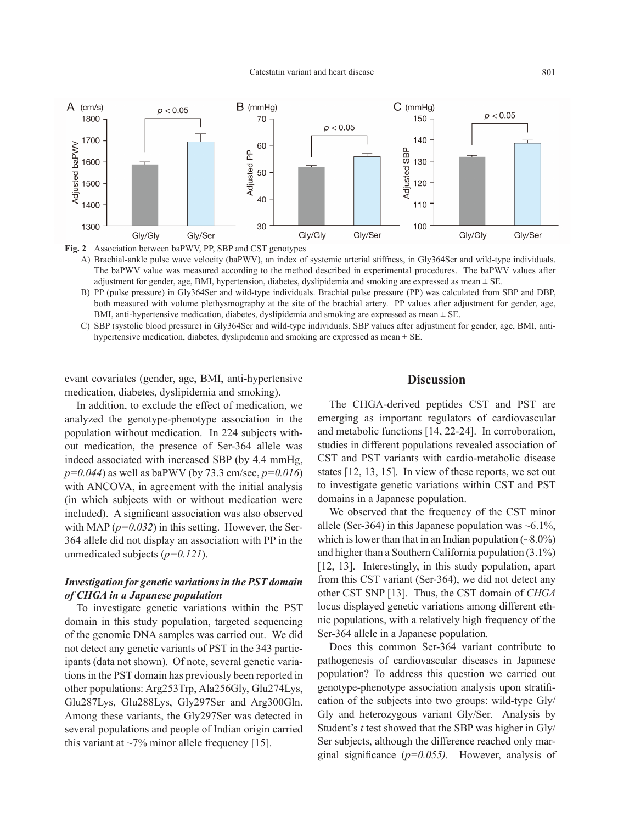

**Fig. 2** Association between baPWV, PP, SBP and CST genotypes

- A) Brachial-ankle pulse wave velocity (baPWV), an index of systemic arterial stiffness, in Gly364Ser and wild-type individuals. The baPWV value was measured according to the method described in experimental procedures. The baPWV values after adjustment for gender, age, BMI, hypertension, diabetes, dyslipidemia and smoking are expressed as mean ± SE.
- B) PP (pulse pressure) in Gly364Ser and wild-type individuals. Brachial pulse pressure (PP) was calculated from SBP and DBP, both measured with volume plethysmography at the site of the brachial artery. PP values after adjustment for gender, age, BMI, anti-hypertensive medication, diabetes, dyslipidemia and smoking are expressed as mean  $\pm$  SE.
- C) SBP (systolic blood pressure) in Gly364Ser and wild-type individuals. SBP values after adjustment for gender, age, BMI, antihypertensive medication, diabetes, dyslipidemia and smoking are expressed as mean ± SE.

evant covariates (gender, age, BMI, anti-hypertensive medication, diabetes, dyslipidemia and smoking).

In addition, to exclude the effect of medication, we analyzed the genotype-phenotype association in the population without medication. In 224 subjects without medication, the presence of Ser-364 allele was indeed associated with increased SBP (by 4.4 mmHg, *p=0.044*) as well as baPWV (by 73.3 cm/sec, *p=0.016*) with ANCOVA, in agreement with the initial analysis (in which subjects with or without medication were included). A significant association was also observed with MAP  $(p=0.032)$  in this setting. However, the Ser-364 allele did not display an association with PP in the unmedicated subjects (*p=0.121*).

## *Investigation for genetic variations in the PST domain of CHGA in a Japanese population*

To investigate genetic variations within the PST domain in this study population, targeted sequencing of the genomic DNA samples was carried out. We did not detect any genetic variants of PST in the 343 participants (data not shown). Of note, several genetic variations in the PST domain has previously been reported in other populations: Arg253Trp, Ala256Gly, Glu274Lys, Glu287Lys, Glu288Lys, Gly297Ser and Arg300Gln. Among these variants, the Gly297Ser was detected in several populations and people of Indian origin carried this variant at  $\sim$ 7% minor allele frequency [15].

# **Discussion**

The CHGA-derived peptides CST and PST are emerging as important regulators of cardiovascular and metabolic functions [14, 22-24]. In corroboration, studies in different populations revealed association of CST and PST variants with cardio-metabolic disease states [12, 13, 15]. In view of these reports, we set out to investigate genetic variations within CST and PST domains in a Japanese population.

We observed that the frequency of the CST minor allele (Ser-364) in this Japanese population was  $\sim 6.1\%$ , which is lower than that in an Indian population  $(\sim 8.0\%)$ and higher than a Southern California population (3.1%) [12, 13]. Interestingly, in this study population, apart from this CST variant (Ser-364), we did not detect any other CST SNP [13]. Thus, the CST domain of *CHGA*  locus displayed genetic variations among different ethnic populations, with a relatively high frequency of the Ser-364 allele in a Japanese population.

Does this common Ser-364 variant contribute to pathogenesis of cardiovascular diseases in Japanese population? To address this question we carried out genotype-phenotype association analysis upon stratification of the subjects into two groups: wild-type Gly/ Gly and heterozygous variant Gly/Ser. Analysis by Student's *t* test showed that the SBP was higher in Gly/ Ser subjects, although the difference reached only marginal significance (*p=0.055).* However, analysis of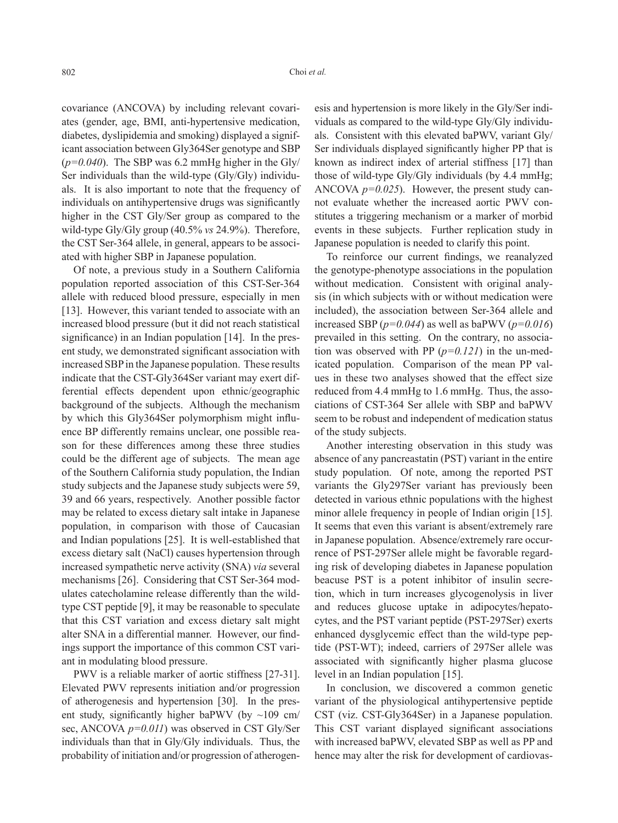covariance (ANCOVA) by including relevant covariates (gender, age, BMI, anti-hypertensive medication, diabetes, dyslipidemia and smoking) displayed a significant association between Gly364Ser genotype and SBP (*p=0.040*). The SBP was 6.2 mmHg higher in the Gly/ Ser individuals than the wild-type (Gly/Gly) individuals. It is also important to note that the frequency of individuals on antihypertensive drugs was significantly higher in the CST Gly/Ser group as compared to the wild-type Gly/Gly group (40.5% *vs* 24.9%). Therefore, the CST Ser-364 allele, in general, appears to be associated with higher SBP in Japanese population.

Of note, a previous study in a Southern California population reported association of this CST-Ser-364 allele with reduced blood pressure, especially in men [13]. However, this variant tended to associate with an increased blood pressure (but it did not reach statistical significance) in an Indian population [14]. In the present study, we demonstrated significant association with increased SBP in the Japanese population. These results indicate that the CST-Gly364Ser variant may exert differential effects dependent upon ethnic/geographic background of the subjects. Although the mechanism by which this Gly364Ser polymorphism might influence BP differently remains unclear, one possible reason for these differences among these three studies could be the different age of subjects. The mean age of the Southern California study population, the Indian study subjects and the Japanese study subjects were 59, 39 and 66 years, respectively. Another possible factor may be related to excess dietary salt intake in Japanese population, in comparison with those of Caucasian and Indian populations [25]. It is well-established that excess dietary salt (NaCl) causes hypertension through increased sympathetic nerve activity (SNA) *via* several mechanisms [26]. Considering that CST Ser-364 modulates catecholamine release differently than the wildtype CST peptide [9], it may be reasonable to speculate that this CST variation and excess dietary salt might alter SNA in a differential manner. However, our findings support the importance of this common CST variant in modulating blood pressure.

PWV is a reliable marker of aortic stiffness [27-31]. Elevated PWV represents initiation and/or progression of atherogenesis and hypertension [30]. In the present study, significantly higher baPWV (by  $\sim$ 109 cm/ sec, ANCOVA *p=0.011*) was observed in CST Gly/Ser individuals than that in Gly/Gly individuals. Thus, the probability of initiation and/or progression of atherogenesis and hypertension is more likely in the Gly/Ser individuals as compared to the wild-type Gly/Gly individuals. Consistent with this elevated baPWV, variant Gly/ Ser individuals displayed significantly higher PP that is known as indirect index of arterial stiffness [17] than those of wild-type Gly/Gly individuals (by 4.4 mmHg; ANCOVA *p=0.025*). However, the present study cannot evaluate whether the increased aortic PWV constitutes a triggering mechanism or a marker of morbid events in these subjects. Further replication study in Japanese population is needed to clarify this point.

To reinforce our current findings, we reanalyzed the genotype-phenotype associations in the population without medication. Consistent with original analysis (in which subjects with or without medication were included), the association between Ser-364 allele and increased SBP (*p=0.044*) as well as baPWV (*p=0.016*) prevailed in this setting. On the contrary, no association was observed with PP (*p=0.121*) in the un-medicated population. Comparison of the mean PP values in these two analyses showed that the effect size reduced from 4.4 mmHg to 1.6 mmHg. Thus, the associations of CST-364 Ser allele with SBP and baPWV seem to be robust and independent of medication status of the study subjects.

Another interesting observation in this study was absence of any pancreastatin (PST) variant in the entire study population. Of note, among the reported PST variants the Gly297Ser variant has previously been detected in various ethnic populations with the highest minor allele frequency in people of Indian origin [15]. It seems that even this variant is absent/extremely rare in Japanese population. Absence/extremely rare occurrence of PST-297Ser allele might be favorable regarding risk of developing diabetes in Japanese population beacuse PST is a potent inhibitor of insulin secretion, which in turn increases glycogenolysis in liver and reduces glucose uptake in adipocytes/hepatocytes, and the PST variant peptide (PST-297Ser) exerts enhanced dysglycemic effect than the wild-type peptide (PST-WT); indeed, carriers of 297Ser allele was associated with significantly higher plasma glucose level in an Indian population [15].

In conclusion, we discovered a common genetic variant of the physiological antihypertensive peptide CST (viz. CST-Gly364Ser) in a Japanese population. This CST variant displayed significant associations with increased baPWV, elevated SBP as well as PP and hence may alter the risk for development of cardiovas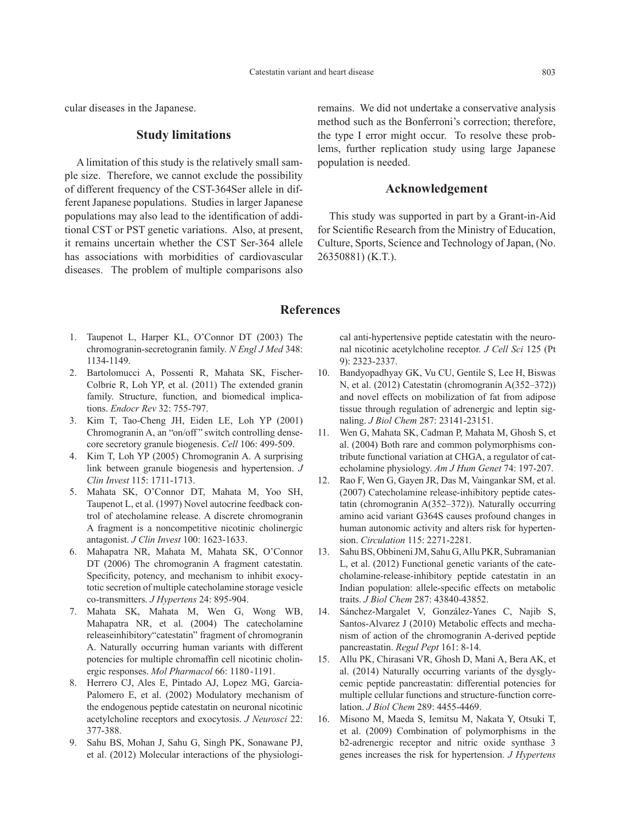cular diseases in the Japanese.

# **Study limitations**

A limitation of this study is the relatively small sample size. Therefore, we cannot exclude the possibility of different frequency of the CST-364Ser allele in different Japanese populations. Studies in larger Japanese populations may also lead to the identification of additional CST or PST genetic variations. Also, at present, it remains uncertain whether the CST Ser-364 allele has associations with morbidities of cardiovascular diseases. The problem of multiple comparisons also remains. We did not undertake a conservative analysis method such as the Bonferroni's correction; therefore, the type I error might occur. To resolve these problems, further replication study using large Japanese population is needed.

# **Acknowledgement**

This study was supported in part by a Grant-in-Aid for Scientific Research from the Ministry of Education, Culture, Sports, Science and Technology of Japan, (No. 26350881) (K.T.).

## **References**

- 1. Taupenot L, Harper KL, O'Connor DT (2003) The chromogranin-secretogranin family. *N Engl J Med* 348: 1134-1149.
- 2. Bartolomucci A, Possenti R, Mahata SK, Fischer-Colbrie R, Loh YP, et al. (2011) The extended granin family. Structure, function, and biomedical implications. *Endocr Rev* 32: 755-797.
- 3. Kim T, Tao-Cheng JH, Eiden LE, Loh YP (2001) Chromogranin A, an "on/off" switch controlling densecore secretory granule biogenesis. *Cell* 106: 499-509.
- 4. Kim T, Loh YP (2005) Chromogranin A. A surprising link between granule biogenesis and hypertension. *J Clin Invest* 115: 1711-1713.
- 5. Mahata SK, O'Connor DT, Mahata M, Yoo SH, Taupenot L, et al. (1997) Novel autocrine feedback control of atecholamine release. A discrete chromogranin A fragment is a noncompetitive nicotinic cholinergic antagonist. *J Clin Invest* 100: 1623-1633.
- 6. Mahapatra NR, Mahata M, Mahata SK, O'Connor DT (2006) The chromogranin A fragment catestatin. Specificity, potency, and mechanism to inhibit exocytotic secretion of multiple catecholamine storage vesicle co-transmitters. *J Hypertens* 24: 895-904.
- 7. Mahata SK, Mahata M, Wen G, Wong WB, Mahapatra NR, et al. (2004) The catecholamine releaseinhibitory"catestatin" fragment of chromogranin A. Naturally occurring human variants with different potencies for multiple chromaffin cell nicotinic cholinergic responses. *Mol Pharmacol* 66: 1180-1191.
- 8. Herrero CJ, Ales E, Pintado AJ, Lopez MG, Garcia-Palomero E, et al. (2002) Modulatory mechanism of the endogenous peptide catestatin on neuronal nicotinic acetylcholine receptors and exocytosis. *J Neurosci* 22: 377-388.
- 9. Sahu BS, Mohan J, Sahu G, Singh PK, Sonawane PJ, et al. (2012) Molecular interactions of the physiologi-

cal anti-hypertensive peptide catestatin with the neuronal nicotinic acetylcholine receptor. *J Cell Sci* 125 (Pt 9): 2323-2337.

- 10. Bandyopadhyay GK, Vu CU, Gentile S, Lee H, Biswas N, et al. (2012) Catestatin (chromogranin A(352–372)) and novel effects on mobilization of fat from adipose tissue through regulation of adrenergic and leptin signaling. *J Biol Chem* 287: 23141-23151.
- 11. Wen G, Mahata SK, Cadman P, Mahata M, Ghosh S, et al. (2004) Both rare and common polymorphisms contribute functional variation at CHGA, a regulator of catecholamine physiology. *Am J Hum Genet* 74: 197-207.
- 12. Rao F, Wen G, Gayen JR, Das M, Vaingankar SM, et al. (2007) Catecholamine release-inhibitory peptide catestatin (chromogranin A(352–372)). Naturally occurring amino acid variant G364S causes profound changes in human autonomic activity and alters risk for hypertension. *Circulation* 115: 2271-2281.
- 13. Sahu BS, Obbineni JM, Sahu G, Allu PKR, Subramanian L, et al. (2012) Functional genetic variants of the catecholamine-release-inhibitory peptide catestatin in an Indian population: allele-specific effects on metabolic traits. *J Biol Chem* 287: 43840-43852.
- 14. Sánchez-Margalet V, González-Yanes C, Najib S, Santos-Alvarez J (2010) Metabolic effects and mechanism of action of the chromogranin A-derived peptide pancreastatin. *Regul Pept* 161: 8-14.
- 15. Allu PK, Chirasani VR, Ghosh D, Mani A, Bera AK, et al. (2014) Naturally occurring variants of the dysglycemic peptide pancreastatin: differential potencies for multiple cellular functions and structure-function correlation. *J Biol Chem* 289: 4455-4469.
- 16. Misono M, Maeda S, Iemitsu M, Nakata Y, Otsuki T, et al. (2009) Combination of polymorphisms in the b2-adrenergic receptor and nitric oxide synthase 3 genes increases the risk for hypertension. *J Hypertens*